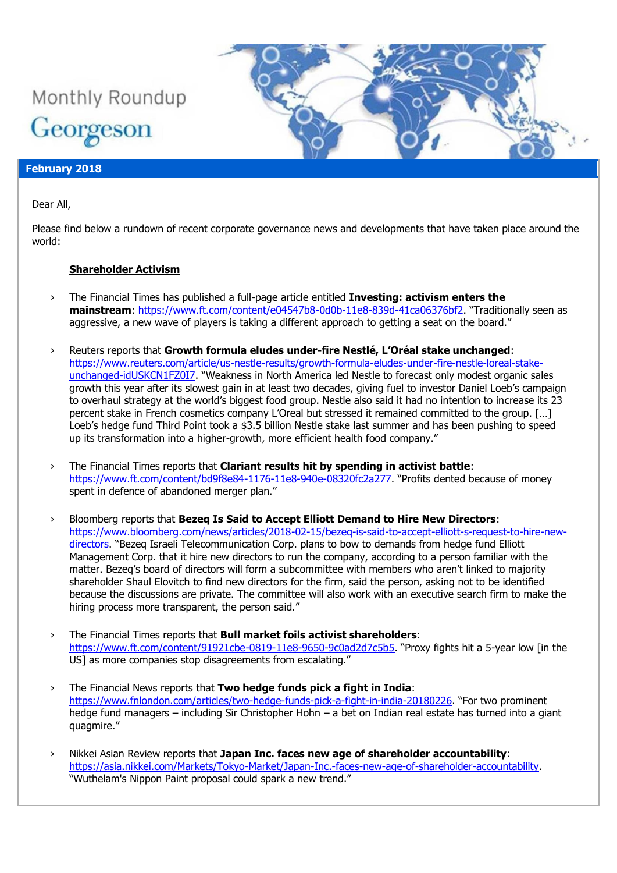

### **February 2018**

Dear All,

Please find below a rundown of recent corporate governance news and developments that have taken place around the world:

### **Shareholder Activism**

- › The Financial Times has published a full-page article entitled **Investing: activism enters the**  mainstream:<https://www.ft.com/content/e04547b8-0d0b-11e8-839d-41ca06376bf2>. "Traditionally seen as aggressive, a new wave of players is taking a different approach to getting a seat on the board."
- › Reuters reports that **Growth formula eludes under-fire Nestlé, L'Oréal stake unchanged**: [https://www.reuters.com/article/us-nestle-results/growth-formula-eludes-under-fire-nestle-loreal-stake](https://www.reuters.com/article/us-nestle-results/growth-formula-eludes-under-fire-nestle-loreal-stake-unchanged-idUSKCN1FZ0I7)[unchanged-idUSKCN1FZ0I7](https://www.reuters.com/article/us-nestle-results/growth-formula-eludes-under-fire-nestle-loreal-stake-unchanged-idUSKCN1FZ0I7). "Weakness in North America led Nestle to forecast only modest organic sales growth this year after its slowest gain in at least two decades, giving fuel to investor Daniel Loeb's campaign to overhaul strategy at the world's biggest food group. Nestle also said it had no intention to increase its 23 percent stake in French cosmetics company L'Oreal but stressed it remained committed to the group. […] Loeb's hedge fund Third Point took a \$3.5 billion Nestle stake last summer and has been pushing to speed up its transformation into a higher-growth, more efficient health food company."
- › The Financial Times reports that **Clariant results hit by spending in activist battle**: <https://www.ft.com/content/bd9f8e84-1176-11e8-940e-08320fc2a277>. "Profits dented because of money spent in defence of abandoned merger plan."
- › Bloomberg reports that **Bezeq Is Said to Accept Elliott Demand to Hire New Directors**: [https://www.bloomberg.com/news/articles/2018-02-15/bezeq-is-said-to-accept-elliott-s-request-to-hire-new](https://www.bloomberg.com/news/articles/2018-02-15/bezeq-is-said-to-accept-elliott-s-request-to-hire-new-directors)[directors](https://www.bloomberg.com/news/articles/2018-02-15/bezeq-is-said-to-accept-elliott-s-request-to-hire-new-directors). "Bezeq Israeli Telecommunication Corp. plans to bow to demands from hedge fund Elliott Management Corp. that it hire new directors to run the company, according to a person familiar with the matter. Bezeq's board of directors will form a subcommittee with members who aren't linked to majority shareholder Shaul Elovitch to find new directors for the firm, said the person, asking not to be identified because the discussions are private. The committee will also work with an executive search firm to make the hiring process more transparent, the person said."
- › The Financial Times reports that **Bull market foils activist shareholders**: <https://www.ft.com/content/91921cbe-0819-11e8-9650-9c0ad2d7c5b5>. "Proxy fights hit a 5-year low [in the US] as more companies stop disagreements from escalating."
- › The Financial News reports that **Two hedge funds pick a fight in India**: <https://www.fnlondon.com/articles/two-hedge-funds-pick-a-fight-in-india-20180226>. "For two prominent hedge fund managers – including Sir Christopher Hohn – a bet on Indian real estate has turned into a giant quagmire."
- › Nikkei Asian Review reports that **Japan Inc. faces new age of shareholder accountability**: [https://asia.nikkei.com/Markets/Tokyo-Market/Japan-Inc.-faces-new-age-of-shareholder-accountability.](https://asia.nikkei.com/Markets/Tokyo-Market/Japan-Inc.-faces-new-age-of-shareholder-accountability) "Wuthelam's Nippon Paint proposal could spark a new trend."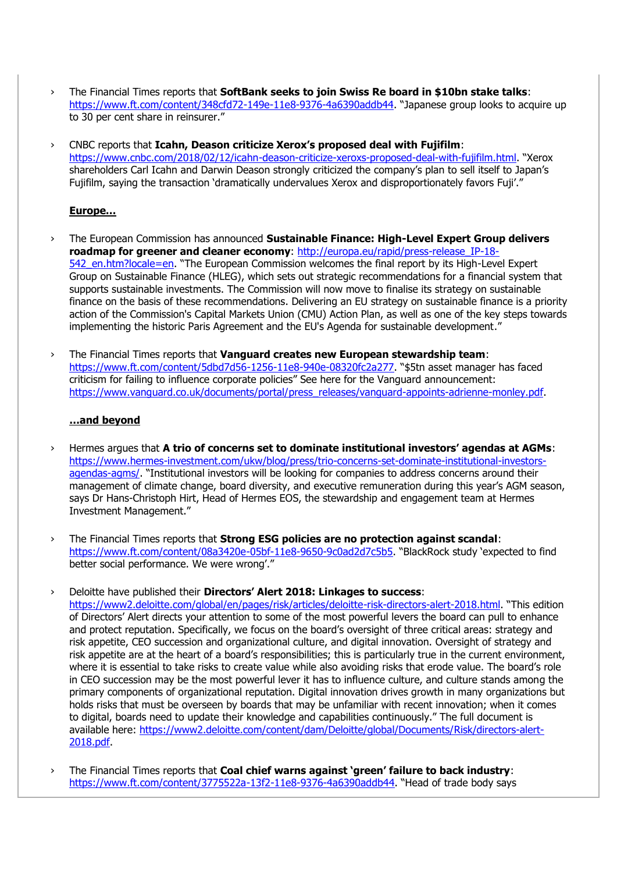- › The Financial Times reports that **SoftBank seeks to join Swiss Re board in \$10bn stake talks**: <https://www.ft.com/content/348cfd72-149e-11e8-9376-4a6390addb44>. "Japanese group looks to acquire up to 30 per cent share in reinsurer."
- › CNBC reports that **Icahn, Deason criticize Xerox's proposed deal with Fujifilm**: <https://www.cnbc.com/2018/02/12/icahn-deason-criticize-xeroxs-proposed-deal-with-fujifilm.html>. "Xerox shareholders Carl Icahn and Darwin Deason strongly criticized the company's plan to sell itself to Japan's Fujifilm, saying the transaction 'dramatically undervalues Xerox and disproportionately favors Fuji'."

## **Europe…**

- › The European Commission has announced **Sustainable Finance: High-Level Expert Group delivers roadmap for greener and cleaner economy**: [http://europa.eu/rapid/press-release\\_IP-18-](http://europa.eu/rapid/press-release_IP-18-542_en.htm?locale=en) 542 en.htm?locale=en. "The European Commission welcomes the final report by its High-Level Expert Group on Sustainable Finance (HLEG), which sets out strategic recommendations for a financial system that supports sustainable investments. The Commission will now move to finalise its strategy on sustainable finance on the basis of these recommendations. Delivering an EU strategy on sustainable finance is a priority action of the Commission's Capital Markets Union (CMU) Action Plan, as well as one of the key steps towards implementing the historic Paris Agreement and the EU's Agenda for sustainable development."
- › The Financial Times reports that **Vanguard creates new European stewardship team**: <https://www.ft.com/content/5dbd7d56-1256-11e8-940e-08320fc2a277>. "\$5tn asset manager has faced criticism for failing to influence corporate policies" See here for the Vanguard announcement: [https://www.vanguard.co.uk/documents/portal/press\\_releases/vanguard-appoints-adrienne-monley.pdf.](https://www.vanguard.co.uk/documents/portal/press_releases/vanguard-appoints-adrienne-monley.pdf)

## **…and beyond**

- › Hermes argues that **A trio of concerns set to dominate institutional investors' agendas at AGMs**: [https://www.hermes-investment.com/ukw/blog/press/trio-concerns-set-dominate-institutional-investors](https://www.hermes-investment.com/ukw/blog/press/trio-concerns-set-dominate-institutional-investors-agendas-agms/)[agendas-agms/](https://www.hermes-investment.com/ukw/blog/press/trio-concerns-set-dominate-institutional-investors-agendas-agms/). "Institutional investors will be looking for companies to address concerns around their management of climate change, board diversity, and executive remuneration during this year's AGM season, says Dr Hans-Christoph Hirt, Head of Hermes EOS, the stewardship and engagement team at Hermes Investment Management."
- › The Financial Times reports that **Strong ESG policies are no protection against scandal**: <https://www.ft.com/content/08a3420e-05bf-11e8-9650-9c0ad2d7c5b5>. "BlackRock study 'expected to find better social performance. We were wrong'."

### › Deloitte have published their **Directors' Alert 2018: Linkages to success**:

<https://www2.deloitte.com/global/en/pages/risk/articles/deloitte-risk-directors-alert-2018.html>. "This edition of Directors' Alert directs your attention to some of the most powerful levers the board can pull to enhance and protect reputation. Specifically, we focus on the board's oversight of three critical areas: strategy and risk appetite, CEO succession and organizational culture, and digital innovation. Oversight of strategy and risk appetite are at the heart of a board's responsibilities; this is particularly true in the current environment, where it is essential to take risks to create value while also avoiding risks that erode value. The board's role in CEO succession may be the most powerful lever it has to influence culture, and culture stands among the primary components of organizational reputation. Digital innovation drives growth in many organizations but holds risks that must be overseen by boards that may be unfamiliar with recent innovation; when it comes to digital, boards need to update their knowledge and capabilities continuously." The full document is available here: [https://www2.deloitte.com/content/dam/Deloitte/global/Documents/Risk/directors-alert-](https://www2.deloitte.com/content/dam/Deloitte/global/Documents/Risk/directors-alert-2018.pdf)[2018.pdf.](https://www2.deloitte.com/content/dam/Deloitte/global/Documents/Risk/directors-alert-2018.pdf)

› The Financial Times reports that **Coal chief warns against 'green' failure to back industry**: <https://www.ft.com/content/3775522a-13f2-11e8-9376-4a6390addb44>. "Head of trade body says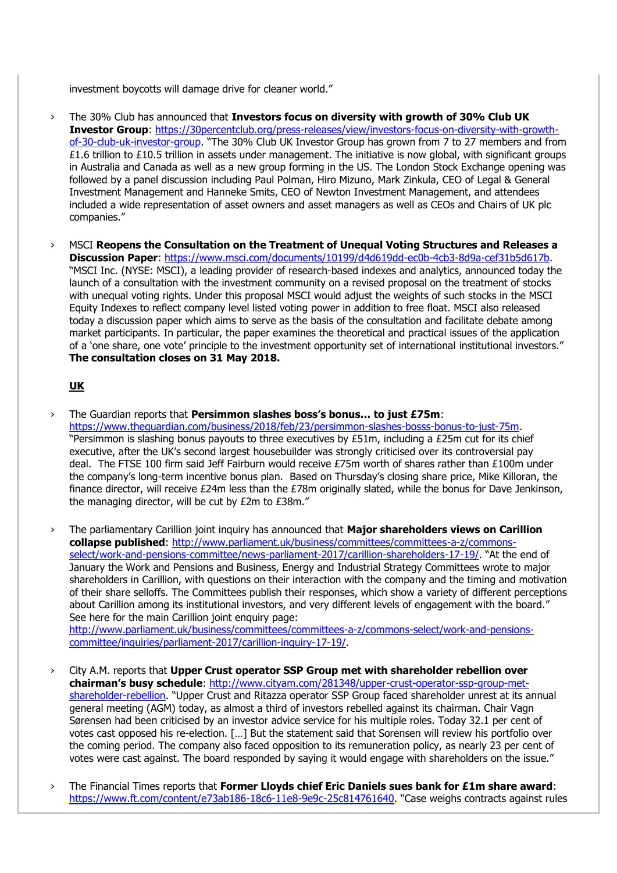investment boycotts will damage drive for cleaner world."

- › The 30% Club has announced that **Investors focus on diversity with growth of 30% Club UK Investor Group**: [https://30percentclub.org/press-releases/view/investors-focus-on-diversity-with-growth](https://30percentclub.org/press-releases/view/investors-focus-on-diversity-with-growth-of-30-club-uk-investor-group)[of-30-club-uk-investor-group](https://30percentclub.org/press-releases/view/investors-focus-on-diversity-with-growth-of-30-club-uk-investor-group). "The 30% Club UK Investor Group has grown from 7 to 27 members and from  $£1.6$  trillion to £10.5 trillion in assets under management. The initiative is now global, with significant groups in Australia and Canada as well as a new group forming in the US. The London Stock Exchange opening was followed by a panel discussion including Paul Polman, Hiro Mizuno, Mark Zinkula, CEO of Legal & General Investment Management and Hanneke Smits, CEO of Newton Investment Management, and attendees included a wide representation of asset owners and asset managers as well as CEOs and Chairs of UK plc companies."
- › MSCI **Reopens the Consultation on the Treatment of Unequal Voting Structures and Releases a Discussion Paper**: [https://www.msci.com/documents/10199/d4d619dd-ec0b-4cb3-8d9a-cef31b5d617b.](https://www.msci.com/documents/10199/d4d619dd-ec0b-4cb3-8d9a-cef31b5d617b) "MSCI Inc. (NYSE: MSCI), a leading provider of research-based indexes and analytics, announced today the launch of a consultation with the investment community on a revised proposal on the treatment of stocks with unequal voting rights. Under this proposal MSCI would adjust the weights of such stocks in the MSCI Equity Indexes to reflect company level listed voting power in addition to free float. MSCI also released today a discussion paper which aims to serve as the basis of the consultation and facilitate debate among market participants. In particular, the paper examines the theoretical and practical issues of the application of a 'one share, one vote' principle to the investment opportunity set of international institutional investors." **The consultation closes on 31 May 2018.**

# **UK**

- › The Guardian reports that **Persimmon slashes boss's bonus… to just £75m**: [https://www.theguardian.com/business/2018/feb/23/persimmon-slashes-bosss-bonus-to-just-75m.](https://www.theguardian.com/business/2018/feb/23/persimmon-slashes-bosss-bonus-to-just-75m) "Persimmon is slashing bonus payouts to three executives by  $E51m$ , including a  $E25m$  cut for its chief executive, after the UK's second largest housebuilder was strongly criticised over its controversial pay deal. The FTSE 100 firm said Jeff Fairburn would receive £75m worth of shares rather than £100m under the company's long-term incentive bonus plan. Based on Thursday's closing share price, Mike Killoran, the finance director, will receive  $E24m$  less than the  $E78m$  originally slated, while the bonus for Dave Jenkinson, the managing director, will be cut by £2m to £38m."
- › The parliamentary Carillion joint inquiry has announced that **Major shareholders views on Carillion collapse published**: [http://www.parliament.uk/business/committees/committees-a-z/commons](http://www.parliament.uk/business/committees/committees-a-z/commons-select/work-and-pensions-committee/news-parliament-2017/carillion-shareholders-17-19/)[select/work-and-pensions-committee/news-parliament-2017/carillion-shareholders-17-19/](http://www.parliament.uk/business/committees/committees-a-z/commons-select/work-and-pensions-committee/news-parliament-2017/carillion-shareholders-17-19/). "At the end of January the Work and Pensions and Business, Energy and Industrial Strategy Committees wrote to major shareholders in Carillion, with questions on their interaction with the company and the timing and motivation of their share selloffs. The Committees publish their responses, which show a variety of different perceptions about Carillion among its institutional investors, and very different levels of engagement with the board." See here for the main Carillion joint enquiry page: [http://www.parliament.uk/business/committees/committees-a-z/commons-select/work-and-pensions-](http://www.parliament.uk/business/committees/committees-a-z/commons-select/work-and-pensions-committee/inquiries/parliament-2017/carillion-inquiry-17-19/)

[committee/inquiries/parliament-2017/carillion-inquiry-17-19/.](http://www.parliament.uk/business/committees/committees-a-z/commons-select/work-and-pensions-committee/inquiries/parliament-2017/carillion-inquiry-17-19/)

- › City A.M. reports that **Upper Crust operator SSP Group met with shareholder rebellion over chairman's busy schedule**: [http://www.cityam.com/281348/upper-crust-operator-ssp-group-met](http://www.cityam.com/281348/upper-crust-operator-ssp-group-met-shareholder-rebellion)[shareholder-rebellion.](http://www.cityam.com/281348/upper-crust-operator-ssp-group-met-shareholder-rebellion) "Upper Crust and Ritazza operator SSP Group faced shareholder unrest at its annual general meeting (AGM) today, as almost a third of investors rebelled against its chairman. Chair Vagn Sørensen had been criticised by an investor advice service for his multiple roles. Today 32.1 per cent of votes cast opposed his re-election. […] But the statement said that Sorensen will review his portfolio over the coming period. The company also faced opposition to its remuneration policy, as nearly 23 per cent of votes were cast against. The board responded by saying it would engage with shareholders on the issue."
- › The Financial Times reports that **Former Lloyds chief Eric Daniels sues bank for £1m share award**: <https://www.ft.com/content/e73ab186-18c6-11e8-9e9c-25c814761640>. "Case weighs contracts against rules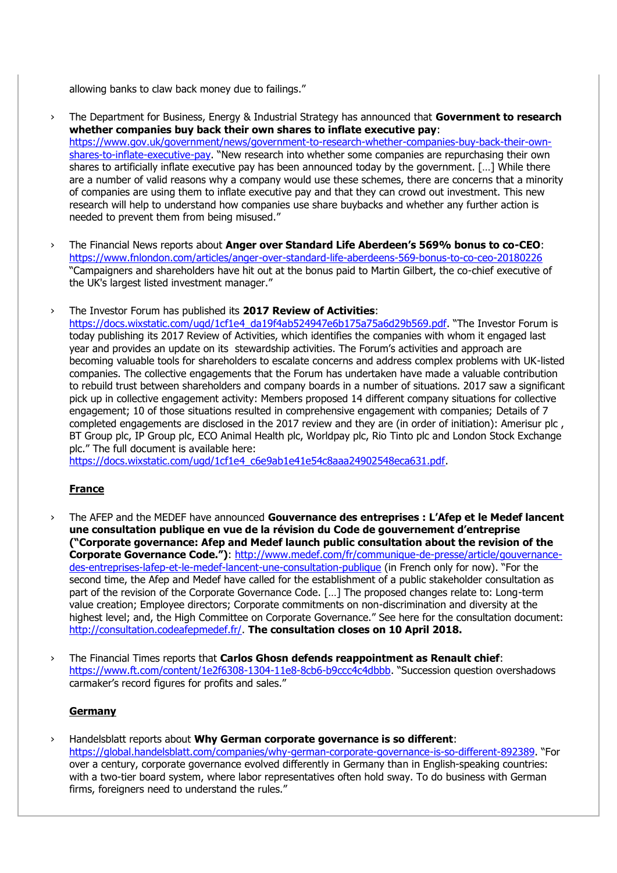allowing banks to claw back money due to failings."

- › The Department for Business, Energy & Industrial Strategy has announced that **Government to research whether companies buy back their own shares to inflate executive pay**: [https://www.gov.uk/government/news/government-to-research-whether-companies-buy-back-their-own](https://www.gov.uk/government/news/government-to-research-whether-companies-buy-back-their-own-shares-to-inflate-executive-pay)[shares-to-inflate-executive-pay](https://www.gov.uk/government/news/government-to-research-whether-companies-buy-back-their-own-shares-to-inflate-executive-pay). "New research into whether some companies are repurchasing their own shares to artificially inflate executive pay has been announced today by the government. […] While there are a number of valid reasons why a company would use these schemes, there are concerns that a minority of companies are using them to inflate executive pay and that they can crowd out investment. This new research will help to understand how companies use share buybacks and whether any further action is needed to prevent them from being misused."
- › The Financial News reports about **Anger over Standard Life Aberdeen's 569% bonus to co-CEO**: <https://www.fnlondon.com/articles/anger-over-standard-life-aberdeens-569-bonus-to-co-ceo-20180226> "Campaigners and shareholders have hit out at the bonus paid to Martin Gilbert, the co-chief executive of the UK's largest listed investment manager."

#### › The Investor Forum has published its **2017 Review of Activities**:

[https://docs.wixstatic.com/ugd/1cf1e4\\_da19f4ab524947e6b175a75a6d29b569.pdf](https://docs.wixstatic.com/ugd/1cf1e4_da19f4ab524947e6b175a75a6d29b569.pdf). "The Investor Forum is today publishing its 2017 Review of Activities, which identifies the companies with whom it engaged last year and provides an update on its stewardship activities. The Forum's activities and approach are becoming valuable tools for shareholders to escalate concerns and address complex problems with UK-listed companies. The collective engagements that the Forum has undertaken have made a valuable contribution to rebuild trust between shareholders and company boards in a number of situations. 2017 saw a significant pick up in collective engagement activity: Members proposed 14 different company situations for collective engagement; 10 of those situations resulted in comprehensive engagement with companies; Details of 7 completed engagements are disclosed in the 2017 review and they are (in order of initiation): Amerisur plc , BT Group plc, IP Group plc, ECO Animal Health plc, Worldpay plc, Rio Tinto plc and London Stock Exchange plc." The full document is available here:

[https://docs.wixstatic.com/ugd/1cf1e4\\_c6e9ab1e41e54c8aaa24902548eca631.pdf.](https://docs.wixstatic.com/ugd/1cf1e4_c6e9ab1e41e54c8aaa24902548eca631.pdf)

# **France**

- › The AFEP and the MEDEF have announced **Gouvernance des entreprises : L'Afep et le Medef lancent une consultation publique en vue de la révision du Code de gouvernement d'entreprise ("Corporate governance: Afep and Medef launch public consultation about the revision of the Corporate Governance Code.")**: [http://www.medef.com/fr/communique-de-presse/article/gouvernance](http://www.medef.com/fr/communique-de-presse/article/gouvernance-des-entreprises-lafep-et-le-medef-lancent-une-consultation-publique)[des-entreprises-lafep-et-le-medef-lancent-une-consultation-publique](http://www.medef.com/fr/communique-de-presse/article/gouvernance-des-entreprises-lafep-et-le-medef-lancent-une-consultation-publique) (in French only for now). "For the second time, the Afep and Medef have called for the establishment of a public stakeholder consultation as part of the revision of the Corporate Governance Code. […] The proposed changes relate to: Long-term value creation; Employee directors; Corporate commitments on non-discrimination and diversity at the highest level; and, the High Committee on Corporate Governance." See here for the consultation document: [http://consultation.codeafepmedef.fr/.](http://consultation.codeafepmedef.fr/) **The consultation closes on 10 April 2018.**
- › The Financial Times reports that **Carlos Ghosn defends reappointment as Renault chief**: <https://www.ft.com/content/1e2f6308-1304-11e8-8cb6-b9ccc4c4dbbb>. "Succession question overshadows carmaker's record figures for profits and sales."

### **Germany**

› Handelsblatt reports about **Why German corporate governance is so different**: <https://global.handelsblatt.com/companies/why-german-corporate-governance-is-so-different-892389>. "For over a century, corporate governance evolved differently in Germany than in English-speaking countries: with a two-tier board system, where labor representatives often hold sway. To do business with German firms, foreigners need to understand the rules."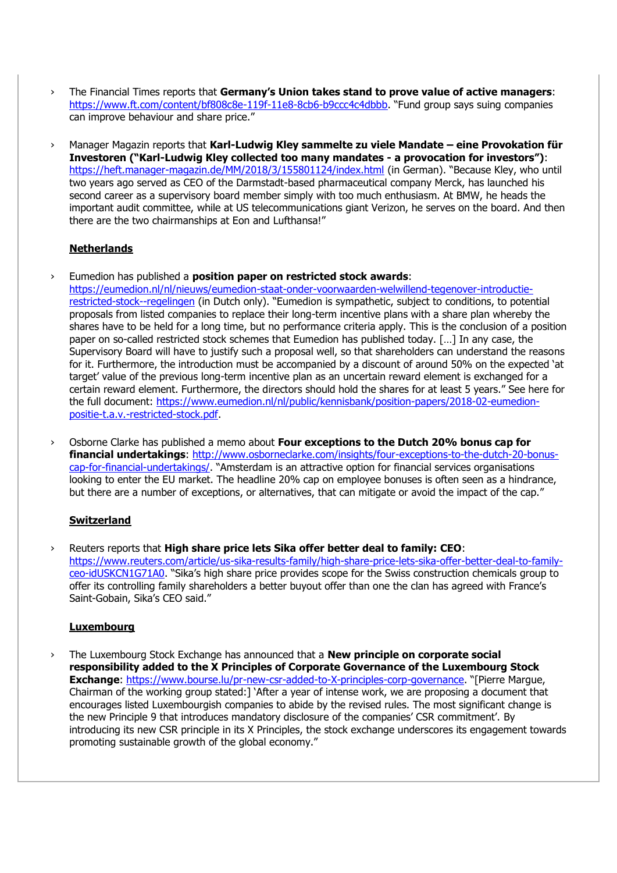- › The Financial Times reports that **Germany's Union takes stand to prove value of active managers**: <https://www.ft.com/content/bf808c8e-119f-11e8-8cb6-b9ccc4c4dbbb>. "Fund group says suing companies can improve behaviour and share price."
- › Manager Magazin reports that **Karl-Ludwig Kley sammelte zu viele Mandate – eine Provokation für Investoren ("Karl-Ludwig Kley collected too many mandates - a provocation for investors")**: <https://heft.manager-magazin.de/MM/2018/3/155801124/index.html> (in German). "Because Kley, who until two years ago served as CEO of the Darmstadt-based pharmaceutical company Merck, has launched his second career as a supervisory board member simply with too much enthusiasm. At BMW, he heads the important audit committee, while at US telecommunications giant Verizon, he serves on the board. And then there are the two chairmanships at Eon and Lufthansa!"

## **Netherlands**

› Eumedion has published a **position paper on restricted stock awards**:

[https://eumedion.nl/nl/nieuws/eumedion-staat-onder-voorwaarden-welwillend-tegenover-introductie](https://eumedion.nl/nl/nieuws/eumedion-staat-onder-voorwaarden-welwillend-tegenover-introductie-restricted-stock--regelingen)[restricted-stock--regelingen](https://eumedion.nl/nl/nieuws/eumedion-staat-onder-voorwaarden-welwillend-tegenover-introductie-restricted-stock--regelingen) (in Dutch only). "Eumedion is sympathetic, subject to conditions, to potential proposals from listed companies to replace their long-term incentive plans with a share plan whereby the shares have to be held for a long time, but no performance criteria apply. This is the conclusion of a position paper on so-called restricted stock schemes that Eumedion has published today. […] In any case, the Supervisory Board will have to justify such a proposal well, so that shareholders can understand the reasons for it. Furthermore, the introduction must be accompanied by a discount of around 50% on the expected 'at target' value of the previous long-term incentive plan as an uncertain reward element is exchanged for a certain reward element. Furthermore, the directors should hold the shares for at least 5 years." See here for the full document: [https://www.eumedion.nl/nl/public/kennisbank/position-papers/2018-02-eumedion](https://www.eumedion.nl/nl/public/kennisbank/position-papers/2018-02-eumedion-positie-t.a.v.-restricted-stock.pdf)[positie-t.a.v.-restricted-stock.pdf.](https://www.eumedion.nl/nl/public/kennisbank/position-papers/2018-02-eumedion-positie-t.a.v.-restricted-stock.pdf)

› Osborne Clarke has published a memo about **Four exceptions to the Dutch 20% bonus cap for financial undertakings**: [http://www.osborneclarke.com/insights/four-exceptions-to-the-dutch-20-bonus](http://www.osborneclarke.com/insights/four-exceptions-to-the-dutch-20-bonus-cap-for-financial-undertakings/)[cap-for-financial-undertakings/](http://www.osborneclarke.com/insights/four-exceptions-to-the-dutch-20-bonus-cap-for-financial-undertakings/). "Amsterdam is an attractive option for financial services organisations looking to enter the EU market. The headline 20% cap on employee bonuses is often seen as a hindrance, but there are a number of exceptions, or alternatives, that can mitigate or avoid the impact of the cap."

# **Switzerland**

› Reuters reports that **High share price lets Sika offer better deal to family: CEO**: [https://www.reuters.com/article/us-sika-results-family/high-share-price-lets-sika-offer-better-deal-to-family](https://www.reuters.com/article/us-sika-results-family/high-share-price-lets-sika-offer-better-deal-to-family-ceo-idUSKCN1G71A0)[ceo-idUSKCN1G71A0](https://www.reuters.com/article/us-sika-results-family/high-share-price-lets-sika-offer-better-deal-to-family-ceo-idUSKCN1G71A0). "Sika's high share price provides scope for the Swiss construction chemicals group to offer its controlling family shareholders a better buyout offer than one the clan has agreed with France's Saint-Gobain, Sika's CEO said."

### **Luxembourg**

› The Luxembourg Stock Exchange has announced that a **New principle on corporate social responsibility added to the X Principles of Corporate Governance of the Luxembourg Stock Exchange**:<https://www.bourse.lu/pr-new-csr-added-to-X-principles-corp-governance>. "[Pierre Margue, Chairman of the working group stated:] 'After a year of intense work, we are proposing a document that encourages listed Luxembourgish companies to abide by the revised rules. The most significant change is the new Principle 9 that introduces mandatory disclosure of the companies' CSR commitment'. By introducing its new CSR principle in its X Principles, the stock exchange underscores its engagement towards promoting sustainable growth of the global economy."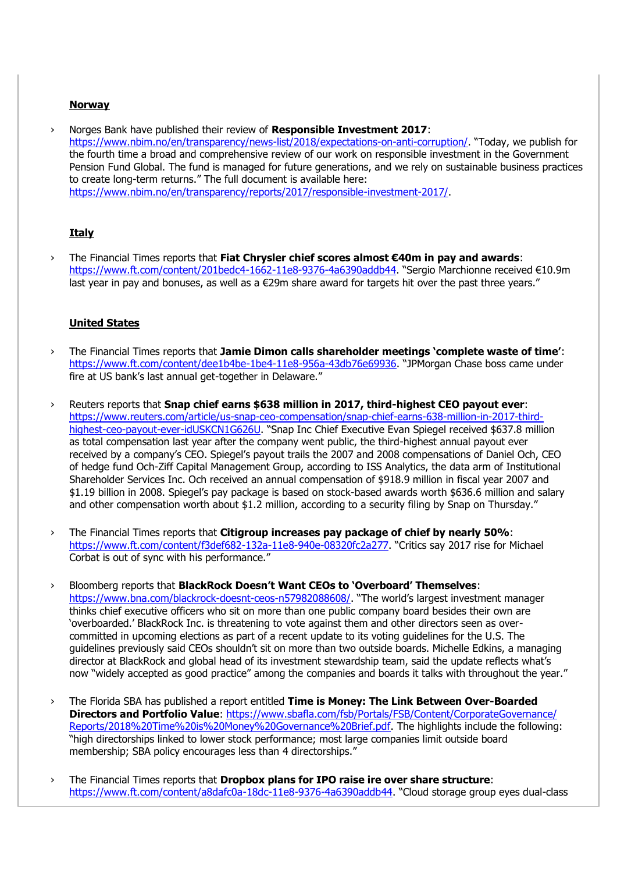#### **Norway**

› Norges Bank have published their review of **Responsible Investment 2017**: <https://www.nbim.no/en/transparency/news-list/2018/expectations-on-anti-corruption/>. "Today, we publish for the fourth time a broad and comprehensive review of our work on responsible investment in the Government Pension Fund Global. The fund is managed for future generations, and we rely on sustainable business practices to create long-term returns." The full document is available here: [https://www.nbim.no/en/transparency/reports/2017/responsible-investment-2017/.](https://www.nbim.no/en/transparency/reports/2017/responsible-investment-2017/)

### **Italy**

› The Financial Times reports that **Fiat Chrysler chief scores almost €40m in pay and awards**: <https://www.ft.com/content/201bedc4-1662-11e8-9376-4a6390addb44>. "Sergio Marchionne received €10.9m last year in pay and bonuses, as well as a €29m share award for targets hit over the past three years."

## **United States**

- › The Financial Times reports that **Jamie Dimon calls shareholder meetings 'complete waste of time'**: <https://www.ft.com/content/dee1b4be-1be4-11e8-956a-43db76e69936>. "JPMorgan Chase boss came under fire at US bank's last annual get-together in Delaware."
- › Reuters reports that **Snap chief earns \$638 million in 2017, third-highest CEO payout ever**: [https://www.reuters.com/article/us-snap-ceo-compensation/snap-chief-earns-638-million-in-2017-third](https://www.reuters.com/article/us-snap-ceo-compensation/snap-chief-earns-638-million-in-2017-third-highest-ceo-payout-ever-idUSKCN1G626U)[highest-ceo-payout-ever-idUSKCN1G626U](https://www.reuters.com/article/us-snap-ceo-compensation/snap-chief-earns-638-million-in-2017-third-highest-ceo-payout-ever-idUSKCN1G626U). "Snap Inc Chief Executive Evan Spiegel received \$637.8 million as total compensation last year after the company went public, the third-highest annual payout ever received by a company's CEO. Spiegel's payout trails the 2007 and 2008 compensations of Daniel Och, CEO of hedge fund Och-Ziff Capital Management Group, according to ISS Analytics, the data arm of Institutional Shareholder Services Inc. Och received an annual compensation of \$918.9 million in fiscal year 2007 and \$1.19 billion in 2008. Spiegel's pay package is based on stock-based awards worth \$636.6 million and salary and other compensation worth about \$1.2 million, according to a security filing by Snap on Thursday."
- › The Financial Times reports that **Citigroup increases pay package of chief by nearly 50%**: <https://www.ft.com/content/f3def682-132a-11e8-940e-08320fc2a277>. "Critics say 2017 rise for Michael Corbat is out of sync with his performance."
- › Bloomberg reports that **BlackRock Doesn't Want CEOs to 'Overboard' Themselves**: <https://www.bna.com/blackrock-doesnt-ceos-n57982088608/>. "The world's largest investment manager thinks chief executive officers who sit on more than one public company board besides their own are 'overboarded.' BlackRock Inc. is threatening to vote against them and other directors seen as overcommitted in upcoming elections as part of a recent update to its voting guidelines for the U.S. The guidelines previously said CEOs shouldn't sit on more than two outside boards. Michelle Edkins, a managing director at BlackRock and global head of its investment stewardship team, said the update reflects what's now "widely accepted as good practice" among the companies and boards it talks with throughout the year."
- › The Florida SBA has published a report entitled **Time is Money: The Link Between Over-Boarded Directors and Portfolio Value**: [https://www.sbafla.com/fsb/Portals/FSB/Content/CorporateGovernance/](https://www.sbafla.com/fsb/Portals/FSB/Content/CorporateGovernance/%20Reports/2018%20Time%20is%20Money%20Governance%20Brief.pdf) [Reports/2018%20Time%20is%20Money%20Governance%20Brief.pdf.](https://www.sbafla.com/fsb/Portals/FSB/Content/CorporateGovernance/%20Reports/2018%20Time%20is%20Money%20Governance%20Brief.pdf) The highlights include the following: "high directorships linked to lower stock performance; most large companies limit outside board membership; SBA policy encourages less than 4 directorships."
- › The Financial Times reports that **Dropbox plans for IPO raise ire over share structure**: <https://www.ft.com/content/a8dafc0a-18dc-11e8-9376-4a6390addb44>. "Cloud storage group eyes dual-class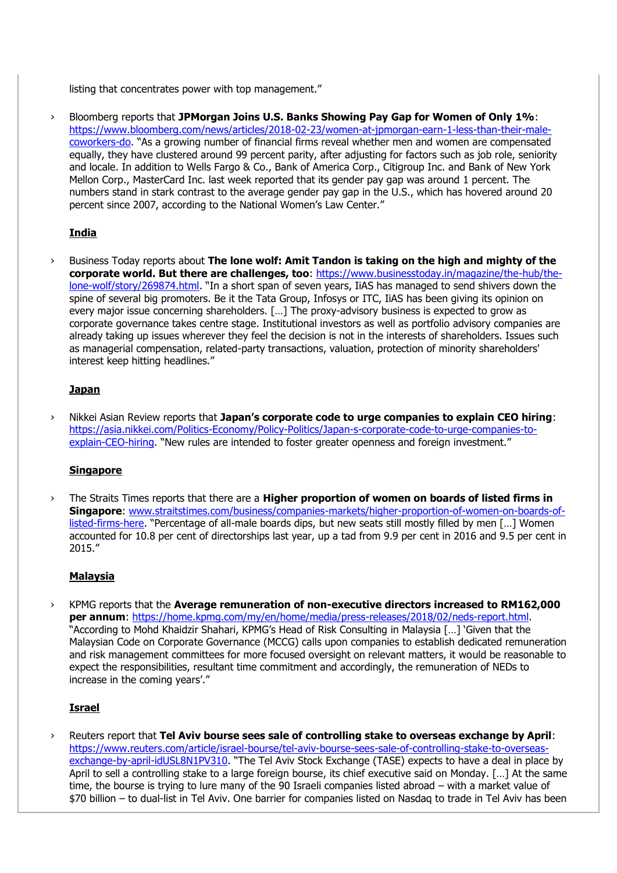listing that concentrates power with top management."

› Bloomberg reports that **JPMorgan Joins U.S. Banks Showing Pay Gap for Women of Only 1%**: [https://www.bloomberg.com/news/articles/2018-02-23/women-at-jpmorgan-earn-1-less-than-their-male](https://www.bloomberg.com/news/articles/2018-02-23/women-at-jpmorgan-earn-1-less-than-their-male-coworkers-do)[coworkers-do](https://www.bloomberg.com/news/articles/2018-02-23/women-at-jpmorgan-earn-1-less-than-their-male-coworkers-do). "As a growing number of financial firms reveal whether men and women are compensated equally, they have clustered around 99 percent parity, after adjusting for factors such as job role, seniority and locale. In addition to Wells Fargo & Co., Bank of America Corp., Citigroup Inc. and Bank of New York Mellon Corp., MasterCard Inc. last week reported that its gender pay gap was around 1 percent. The numbers stand in stark contrast to the average gender pay gap in the U.S., which has hovered around 20 percent since 2007, according to the National Women's Law Center."

# **India**

› Business Today reports about **The lone wolf: Amit Tandon is taking on the high and mighty of the corporate world. But there are challenges, too**: [https://www.businesstoday.in/magazine/the-hub/the](https://www.businesstoday.in/magazine/the-hub/the-lone-wolf/story/269874.html)[lone-wolf/story/269874.html](https://www.businesstoday.in/magazine/the-hub/the-lone-wolf/story/269874.html). "In a short span of seven years, IiAS has managed to send shivers down the spine of several big promoters. Be it the Tata Group, Infosys or ITC, IiAS has been giving its opinion on every major issue concerning shareholders. […] The proxy-advisory business is expected to grow as corporate governance takes centre stage. Institutional investors as well as portfolio advisory companies are already taking up issues wherever they feel the decision is not in the interests of shareholders. Issues such as managerial compensation, related-party transactions, valuation, protection of minority shareholders' interest keep hitting headlines."

## **Japan**

› Nikkei Asian Review reports that **Japan's corporate code to urge companies to explain CEO hiring**: [https://asia.nikkei.com/Politics-Economy/Policy-Politics/Japan-s-corporate-code-to-urge-companies-to](https://asia.nikkei.com/Politics-Economy/Policy-Politics/Japan-s-corporate-code-to-urge-companies-to-explain-CEO-hiring)[explain-CEO-hiring](https://asia.nikkei.com/Politics-Economy/Policy-Politics/Japan-s-corporate-code-to-urge-companies-to-explain-CEO-hiring). "New rules are intended to foster greater openness and foreign investment."

### **Singapore**

The Straits Times reports that there are a **Higher proportion of women on boards of listed firms in Singapore**: [www.straitstimes.com/business/companies-markets/higher-proportion-of-women-on-boards-of](http://www.straitstimes.com/business/companies-markets/higher-proportion-of-women-on-boards-of-listed-firms-here)[listed-firms-here](http://www.straitstimes.com/business/companies-markets/higher-proportion-of-women-on-boards-of-listed-firms-here). "Percentage of all-male boards dips, but new seats still mostly filled by men […] Women accounted for 10.8 per cent of directorships last year, up a tad from 9.9 per cent in 2016 and 9.5 per cent in 2015."

# **Malaysia**

› KPMG reports that the **Average remuneration of non-executive directors increased to RM162,000 per annum**: [https://home.kpmg.com/my/en/home/media/press-releases/2018/02/neds-report.html.](https://home.kpmg.com/my/en/home/media/press-releases/2018/02/neds-report.html) "According to Mohd Khaidzir Shahari, KPMG's Head of Risk Consulting in Malaysia […] 'Given that the Malaysian Code on Corporate Governance (MCCG) calls upon companies to establish dedicated remuneration and risk management committees for more focused oversight on relevant matters, it would be reasonable to expect the responsibilities, resultant time commitment and accordingly, the remuneration of NEDs to increase in the coming years'."

# **Israel**

› Reuters report that **Tel Aviv bourse sees sale of controlling stake to overseas exchange by April**: [https://www.reuters.com/article/israel-bourse/tel-aviv-bourse-sees-sale-of-controlling-stake-to-overseas](https://www.reuters.com/article/israel-bourse/tel-aviv-bourse-sees-sale-of-controlling-stake-to-overseas-exchange-by-april-idUSL8N1PV310)[exchange-by-april-idUSL8N1PV310](https://www.reuters.com/article/israel-bourse/tel-aviv-bourse-sees-sale-of-controlling-stake-to-overseas-exchange-by-april-idUSL8N1PV310). "The Tel Aviv Stock Exchange (TASE) expects to have a deal in place by April to sell a controlling stake to a large foreign bourse, its chief executive said on Monday. […] At the same time, the bourse is trying to lure many of the 90 Israeli companies listed abroad – with a market value of \$70 billion – to dual-list in Tel Aviv. One barrier for companies listed on Nasdaq to trade in Tel Aviv has been